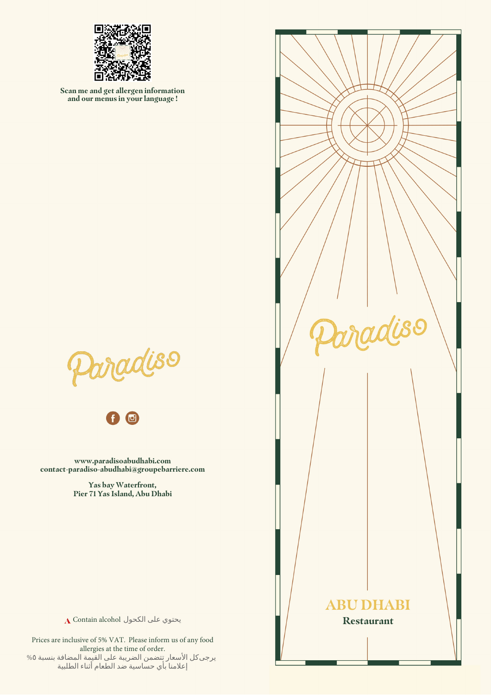

**Scan me and get allergen information and our menus in your language !**





**www.paradisoabudhabi.com contact-paradiso-abudhabi@groupebarriere.com**

> **Yas bay Waterfront, Pier 71 Yas Island, Abu Dhabi**



يحتوي على الكحول A Contain alcohol

Prices are inclusive of 5% VAT. Please inform us of any food allergies at the time of order. يرجى كل الأسعار تتضمن الضريبة على القيمة المضافة بنسبة ٥% إعلامنا بأي حساسية ضد الطعام أثناء الطلبية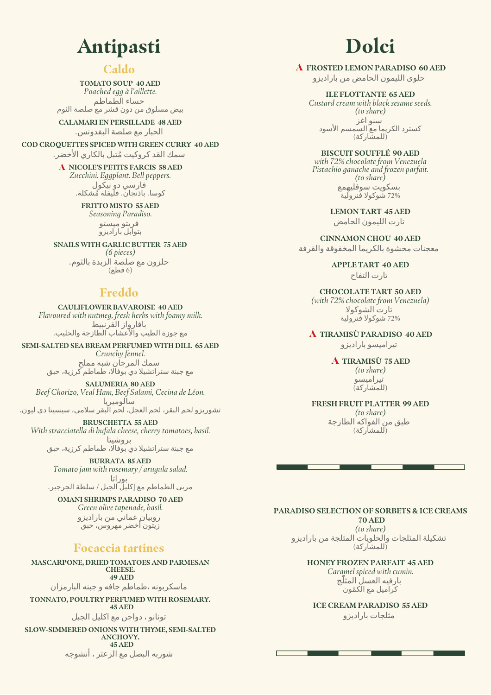## **Antipasti**

### **Caldo**

**TOMATO SOUP 40 AED** *Poached egg à l'aillette.* حساء الطماطم بيض مسلوق من دون قشر مع صلصة الثوم

**CALAMARI EN PERSILLADE 48 AED** الحيار مع صلصة البقدونس.

**COD CROQUETTES SPICED WITH GREEN CURRY 40 AED**

سمك القد كروكيت مُتبل بالكاري الأخضر.

**NICOLE'S PETITS FARCIS 58 AED** *Zucchini. Eggplant. Bell peppers.* فار سي دو نيكول كوسا. باذنجان. فلَيفلة مُشكلة.

> **FRITTO MISTO 55 AED** *Seasoning Paradiso.*

فريتو ميستو بتوابل باراديزو

**SNAILS WITH GARLIC BUTTER 75 AED** *(6 pieces)* حلزون مع صلصة الزبدة بالثوم. (6 عطق )

### **Freddo**

**CAULIFLOWER BAVAROISE 40 AED** *Flavoured with nutmeg, fresh herbs with foamy milk.* بافارواز القرنبيط مع جوزة الطيب والأعشاب الطازجة والحليب.

**SEMI-SALTED SEA BREAM PERFUMED WITH DILL 65 AED** *Crunchy fennel.* سمك المرجان شبه مملح مع جبنة ستراتشيلا دي بوفالا، طماطم كرزية، حبق

**SALUMERIA 80 AED** *Beef Chorizo, Veal Ham, Beef Salami, Cecina de Léon.* سألوميريا

تشوريزو لحم البقر، لحم العجل، لحَمْ الّبقر سلامي، سيسينا دي ليون. **BRUSCHETTA 55 AED**

*With stracciatella di bufala cheese, cherry tomatoes, basil.* بروشيتا

مع جبنة ستر اتشيلا دي بوفالًا، طماطم كرزية، حبق

**BURRATA 85 AED** *Tomato jam with rosemary / arugula salad.* بوراتا

مربي الطماطم مع إكليلَ الجبل / سلطة الجرجير.

**OMANI SHRIMPS PARADISO 70 AED** *Green olive tapenade, basil.* روبيان عماني من باراديزو زَيتَون أخضر مُهروَسَ، حبقَ

### **Focaccia tartines**

**MASCARPONE, DRIED TOMATOES AND PARMESAN CHEESE. 49 AED** ماسكربونه ،طماطم جافه و جبنه البار مزان

**TONNATO, POULTRY PERFUMED WITH ROSEMARY. 45 AED**

تونانو ، دواجن مع اكليل الجبل

**SLOW-SIMMERED ONIONS WITH THYME, SEMI-SALTED ANCHOVY. 45 AED** شوربه البصل مع الزعتر ، أنشوجه

# **Dolci**

**FROSTED LEMON PARADISO 60 AED**

حلوى الليمون الحامض من باراديزو

**ILE FLOTTANTE 65 AED** *Custard cream with black sesame seeds. (to share)* ُسنو اغز كسترد الكريما مع السمسم الأسود .<br>( للمشار كة )

**BISCUIT SOUFFLÉ 90 AED** *with 72% chocolate from Venezuela Pistachio ganache and frozen parfait. (to share)* بسكويت سوفليهمع 72% شَوكولا فَنزولية

> **LEMON TART 45 AED** تار ت الليمون الحامض

**CINNAMON CHOU 40 AED** معجنات محشوة بالكريما المخفوقة والقرفة

> **APPLE TART 40 AED** تارت التفاح

**CHOCOLATE TART 50 AED** *(with 72% chocolate from Venezuela)* تارت الشوكولا 72% شَوكولاً فَنزولية

**TIRAMISÙ PARADISO 40 AED** تير اميسو بار اديز و

> **TIRAMISÙ 75 AED** *(to share)* تير اميسو

(للمشاركة)

**FRESH FRUIT PLATTER 99 AED** *(to share)*

طبق من الفواكه الطازجة .<br>(للمشاركة)

**PARADISO SELECTION OF SORBETS & ICE CREAMS 70 AED** *(to share)*

تشكيلة المثلجات والحلويات المثلجة من بار اديز و (َللمشاركة)

**HONEY FROZEN PARFAIT 45 AED** *Caramel spiced with cumin.* بار فيه العسل المثلّج كراميل مع الكمّون

**ICE CREAM PARADISO 55 AED** مثلجات بار اديز و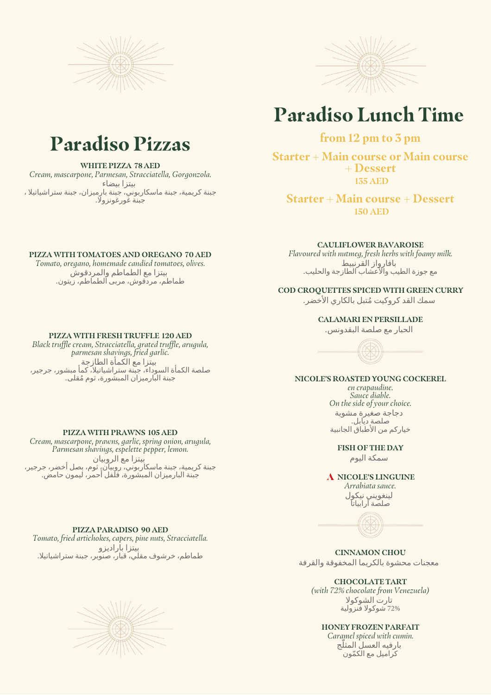



## **Paradiso Lunch Time**

### **from 12 pm to 3 pm**

**Starter + Main course or Main course + Dessert 135 AED**

**Starter + Main course + Dessert 150 AED**

**CAULIFLOWER BAVAROISE**

*Flavoured with nutmeg, fresh herbs with foamy milk.* بافار واز القرنبيط مع جوزة الطيب والأعشاب الطازجة والحليب.

### **COD CROQUETTES SPICED WITH GREEN CURRY**

سمك القد كروكيت مُتبل بالكاري الأخضر.

#### **CALAMARI EN PERSILLADE**

الحيار مع صلصة البقدونس.



### **NICOLE'S ROASTED YOUNG COCKEREL**

*en crapaudine. Sauce diable. On the side of your choice.* دجاجة صغيرة مشوية صلصة ديابل. حياركم من الأطباق الجانبية

#### **FISH OF THE DAY**

سمكة اليوم

**NICOLE'S LINGUINE**

*Arrabiata sauce.* لينغويني نيكول صلصة آرابياتا



**CINNAMON CHOU** معجنات محشوة بالكريما المخفوقة والقرفة

**CHOCOLATE TART** *(with 72% chocolate from Venezuela)* تارت الشوكولا 72% شوكولا فَنزولية

#### **HONEY FROZEN PARFAIT**

*Caramel spiced with cumin.* بارفيه العسل المثلّج كراميل مع الكمّون

## **Paradiso Pizzas**

#### **WHITE PIZZA 78 AED**

*Cream, mascarpone, Parmesan, Stracciatella, Gorgonzola.* بيتزا بيضاء جبنة كريمية، جبنة ماسكاربوني، جبنة بارميزان، جبنة ستراشياتيلا ، جبنة غورغونزولا.

#### **PIZZA WITH TOMATOES AND OREGANO 70 AED**

*Tomato, oregano, homemade candied tomatoes, olives.* بيتزا مع الطماطم والمردقوش طماطم، مردقوش، مربي الطماطم، رَيتون.

#### **PIZZA WITH FRESH TRUFFLE 120 AED**

*Black truffle cream, Stracciatella, grated truffle, arugula, parmesan shavings, fried garlic.* بيتزا مع الكماة الطازجة صلصة الكماة السوداء، جبنة ستراشياتيلا، كما مبشور، جرجير، جبنة البَارميزان المبشَورة، ثوم مُقلب.

#### **PIZZA WITH PRAWNS 105 AED**

*Cream, mascarpone, prawns, garlic, spring onion, arugula, Parmesan shavings, espelette pepper, lemon.* بيتزا مع الروبيان جبنة كريمية، جبنة ماسكاربوني، روبيان، ثوم، بصل أخضر، جرجير، جبنة البارميزان المبشورة، فلفل أحمر، ليمون حامض.

#### **PIZZA PARADISO 90 AED**

*Tomato, fried artichokes, capers, pine nuts, Stracciatella.* بيتزا باراديزو طماطم، خرشوف مقلّي، قبارَ، صَنوَبر، جبنة ستراشياتيلا.